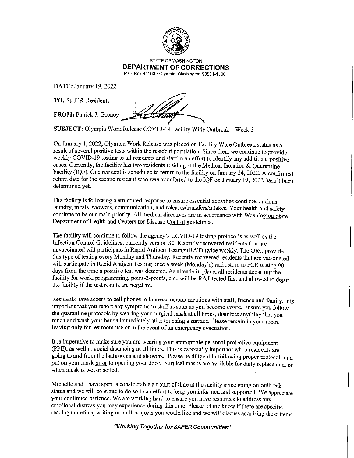

STATE OF WASHINGTON **DEPARTMENT OF CORRECTIONS**  P.O. Box 41100 •Olympia.Washington 98504-1100

**DATE:** January 19, 2022

**DATE:** January 19, 2022<br>**TO:** Staff & Residents

**FROM:** Patrick J. Gosney

**SUBJECT:** Olympia Work Release COVID-19 Facility Wide Outbreak- Week 3

On January 1, 2022, Olympia Work Release was placed on Facility Wide Outbreak status as a result of several positive tests within the resident population. Since then, we continue to provide weekly COVID-19 testing to all residents and staff in an effort to identify any additional positive cases. Currently, the facility has two residents residing at the Medical Isolation & Quarantine Facility (IQF). One resident is scheduled to return to the facility on January 24, 2022. A confirmed return date for the second resident who was transferred to the IQF on January 19, 2022 hasn't been determined yet.

The facility is following a structured response to ensure essential activities continue, such as laundry, meals, showers, communication, and releases/transfers/intakes. Your health and safety continue to be our main priority. All medical directives are in accordance with Washington State Department of Health and Centers for Disease Control guidelines.

The facility will continue to follow the agency's COVID-19 testing protocol's as well as the Infection Control Guidelines; currently version 30. Recently recovered residents that are unvaccinated will participate in Rapid Antigen Testing (RAT) twice weekly. The ORC provides this type of testing every Monday and Thursday. Recently recovered residents that are vaccinated will participate in Rapid Antigen Testing once a week (Monday's) and return to PCR testing 90 days from the time a positive test was detected. As already in place, all residents departing the facility for work, programming, point-2-points, etc., will be RAT tested first and allowed to depart the facility if the test results are negative.

Residents have access to cell phones to increase communications with staff, friends and family. It is important that you report any symptoms to staff as soon as you become aware. Ensure you follow the quarantine protocols by wearing your surgical mask at all times, disinfect anything that you touch and wash your hands immediately after touching a surface. Please remain in your room, leaving only for restroom use or in the event of an emergency evacuation.

It is imperative to make sure you are wearing your appropriate personal protective equipment (PPB), as well as social distancing at all times. This is especially important when residents are going to and from the bathrooms and showers. Please be diligent in following proper protocols and put on your mask prior to opening your door. Surgical masks are available for daily replacement or when mask is wet or soiled.

Michelle and I have spent a considerable amount of time at the facility since going on outbreak status and we will continue to do so in an effort to keep you informed and supported. We appreciate your continued patience. We are working hard to ensure you have resources to address any emotional distress you may experience during this time. Please let me know if there are specific reading materials, writing or craft projects you would like and we will discuss acquiring those items

**"Working Together for SAFER Communities"**